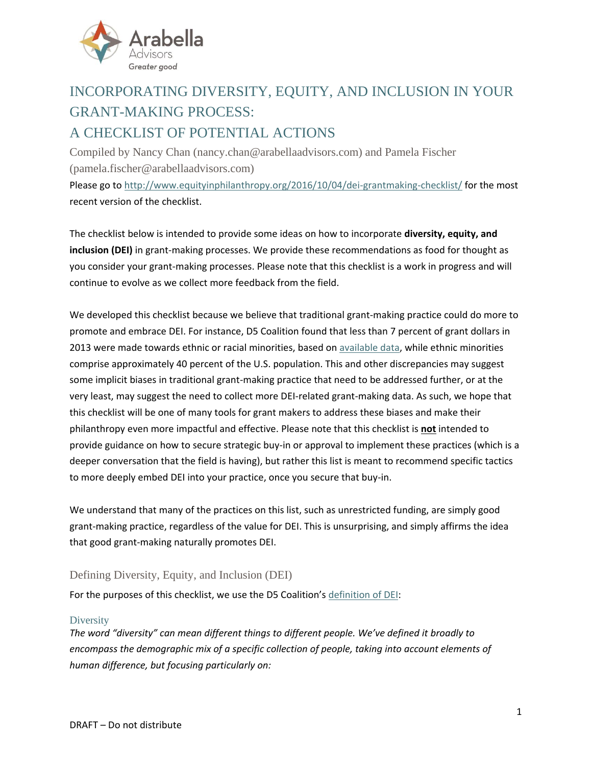

# INCORPORATING DIVERSITY, EQUITY, AND INCLUSION IN YOUR GRANT-MAKING PROCESS: A CHECKLIST OF POTENTIAL ACTIONS

Compiled by Nancy Chan [\(nancy.chan@arabellaadvisors.com\)](mailto:nancy.chan@arabellaadvisors.com) and Pamela Fischer [\(pamela.fischer@arabellaadvisors.com\)](mailto:pamela.fischer@arabellaadvisors.com) Please go t[o http://www.equityinphilanthropy.org/2016/10/04/dei-grantmaking-checklist/](http://www.equityinphilanthropy.org/2016/10/04/dei-grantmaking-checklist/) for the most recent version of the checklist.

The checklist below is intended to provide some ideas on how to incorporate **diversity, equity, and inclusion (DEI)** in grant-making processes. We provide these recommendations as food for thought as you consider your grant-making processes. Please note that this checklist is a work in progress and will continue to evolve as we collect more feedback from the field.

We developed this checklist because we believe that traditional grant-making practice could do more to promote and embrace DEI. For instance, D5 Coalition found that less than 7 percent of grant dollars in 2013 were made towards ethnic or racial minorities, based on [available data,](http://www.d5coalition.org/wp-content/uploads/2016/04/D5-SOTW-2016-Final-web-pages.pdf) while ethnic minorities comprise approximately 40 percent of the U.S. population. This and other discrepancies may suggest some implicit biases in traditional grant-making practice that need to be addressed further, or at the very least, may suggest the need to collect more DEI-related grant-making data. As such, we hope that this checklist will be one of many tools for grant makers to address these biases and make their philanthropy even more impactful and effective. Please note that this checklist is **not** intended to provide guidance on how to secure strategic buy-in or approval to implement these practices (which is a deeper conversation that the field is having), but rather this list is meant to recommend specific tactics to more deeply embed DEI into your practice, once you secure that buy-in.

We understand that many of the practices on this list, such as unrestricted funding, are simply good grant-making practice, regardless of the value for DEI. This is unsurprising, and simply affirms the idea that good grant-making naturally promotes DEI.

## Defining Diversity, Equity, and Inclusion (DEI)

For the purposes of this checklist, we use the D5 Coalition's [definition of DEI:](http://www.d5coalition.org/tools/dei/)

### **Diversity**

The word "diversity" can mean different things to different people. We've defined it broadly to *encompass the demographic mix of a specific collection of people, taking into account elements of human difference, but focusing particularly on:*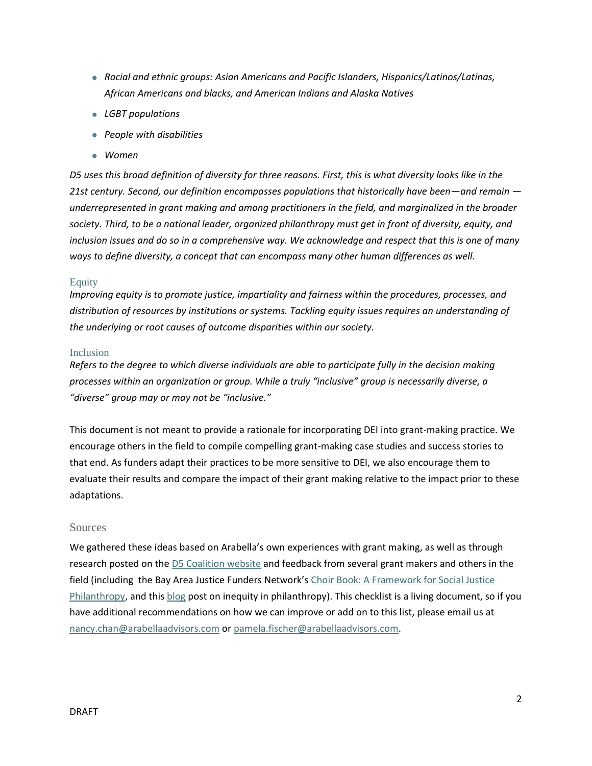- *Racial and ethnic groups: Asian Americans and Pacific Islanders, Hispanics/Latinos/Latinas, African Americans and blacks, and American Indians and Alaska Natives*
- *LGBT populations*
- *People with disabilities*
- *Women*

*D5 uses this broad definition of diversity for three reasons. First, this is what diversity looks like in the 21st century. Second, our definition encompasses populations that historically have been—and remain underrepresented in grant making and among practitioners in the field, and marginalized in the broader society. Third, to be a national leader, organized philanthropy must get in front of diversity, equity, and inclusion issues and do so in a comprehensive way. We acknowledge and respect that this is one of many ways to define diversity, a concept that can encompass many other human differences as well.*

#### Equity

*Improving equity is to promote justice, impartiality and fairness within the procedures, processes, and distribution of resources by institutions or systems. Tackling equity issues requires an understanding of the underlying or root causes of outcome disparities within our society.*

#### Inclusion

*Refers to the degree to which diverse individuals are able to participate fully in the decision making processes within an organization or group. While a truly "inclusive" group is necessarily diverse, a "diverse" group may or may not be "inclusive."*

This document is not meant to provide a rationale for incorporating DEI into grant-making practice. We encourage others in the field to compile compelling grant-making case studies and success stories to that end. As funders adapt their practices to be more sensitive to DEI, we also encourage them to evaluate their results and compare the impact of their grant making relative to the impact prior to these adaptations.

#### Sources

We gathered these ideas based on Arabella's own experiences with grant making, as well as through research posted on the [D5 Coalition website](http://www.d5coalition.org/) and feedback from several grant makers and others in the field (including the Bay Area Justice Funders Network's [Choir Book: A Framework for Social Justice](http://www.justicefunders.org/Choir-Book)  [Philanthropy,](http://www.justicefunders.org/Choir-Book) and thi[s blog](http://nonprofitwithballs.com/2015/08/funders-your-grant-application-process-may-be-perpetuating-inequity) post on inequity in philanthropy). This checklist is a living document, so if you have additional recommendations on how we can improve or add on to this list, please email us at [nancy.chan@arabellaadvisors.com](mailto:nancy.chan@arabellaadvisors.com) or [pamela.fischer@arabellaadvisors.com.](mailto:pamela.fischer@arabellaadvisors.com)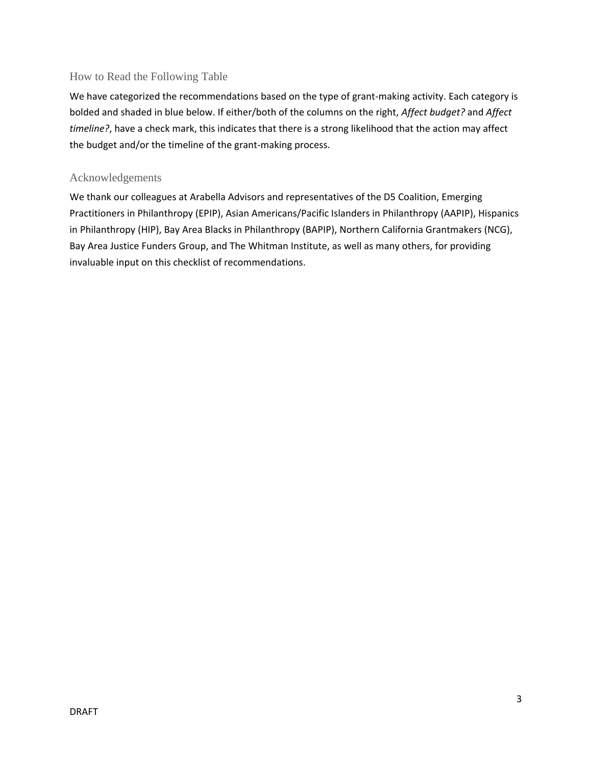## How to Read the Following Table

We have categorized the recommendations based on the type of grant-making activity. Each category is bolded and shaded in blue below. If either/both of the columns on the right, *Affect budget?* and *Affect timeline?*, have a check mark, this indicates that there is a strong likelihood that the action may affect the budget and/or the timeline of the grant-making process.

## Acknowledgements

We thank our colleagues at Arabella Advisors and representatives of the D5 Coalition, Emerging Practitioners in Philanthropy (EPIP), Asian Americans/Pacific Islanders in Philanthropy (AAPIP), Hispanics in Philanthropy (HIP), Bay Area Blacks in Philanthropy (BAPIP), Northern California Grantmakers (NCG), Bay Area Justice Funders Group, and The Whitman Institute, as well as many others, for providing invaluable input on this checklist of recommendations.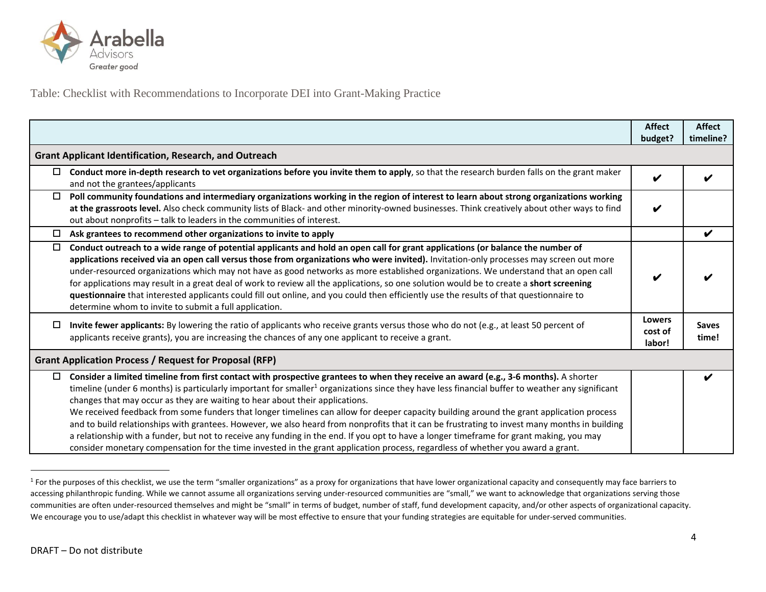

Table: Checklist with Recommendations to Incorporate DEI into Grant-Making Practice

|                                                               |                                                                                                                                                                                                                                                                                                                                                                                                                                                                                                                                                                                                                                                                                                                                                                                                                                                                                                                                                                 | <b>Affect</b><br>budget?           | <b>Affect</b><br>timeline? |
|---------------------------------------------------------------|-----------------------------------------------------------------------------------------------------------------------------------------------------------------------------------------------------------------------------------------------------------------------------------------------------------------------------------------------------------------------------------------------------------------------------------------------------------------------------------------------------------------------------------------------------------------------------------------------------------------------------------------------------------------------------------------------------------------------------------------------------------------------------------------------------------------------------------------------------------------------------------------------------------------------------------------------------------------|------------------------------------|----------------------------|
|                                                               | <b>Grant Applicant Identification, Research, and Outreach</b>                                                                                                                                                                                                                                                                                                                                                                                                                                                                                                                                                                                                                                                                                                                                                                                                                                                                                                   |                                    |                            |
| $\Box$                                                        | Conduct more in-depth research to vet organizations before you invite them to apply, so that the research burden falls on the grant maker<br>and not the grantees/applicants                                                                                                                                                                                                                                                                                                                                                                                                                                                                                                                                                                                                                                                                                                                                                                                    | V                                  |                            |
| 0                                                             | Poll community foundations and intermediary organizations working in the region of interest to learn about strong organizations working<br>at the grassroots level. Also check community lists of Black- and other minority-owned businesses. Think creatively about other ways to find<br>out about nonprofits – talk to leaders in the communities of interest.                                                                                                                                                                                                                                                                                                                                                                                                                                                                                                                                                                                               |                                    |                            |
| $\Box$                                                        | Ask grantees to recommend other organizations to invite to apply                                                                                                                                                                                                                                                                                                                                                                                                                                                                                                                                                                                                                                                                                                                                                                                                                                                                                                |                                    | V                          |
| $\Box$                                                        | Conduct outreach to a wide range of potential applicants and hold an open call for grant applications (or balance the number of<br>applications received via an open call versus those from organizations who were invited). Invitation-only processes may screen out more<br>under-resourced organizations which may not have as good networks as more established organizations. We understand that an open call<br>for applications may result in a great deal of work to review all the applications, so one solution would be to create a short screening<br>questionnaire that interested applicants could fill out online, and you could then efficiently use the results of that questionnaire to<br>determine whom to invite to submit a full application.                                                                                                                                                                                             |                                    |                            |
| □                                                             | Invite fewer applicants: By lowering the ratio of applicants who receive grants versus those who do not (e.g., at least 50 percent of<br>applicants receive grants), you are increasing the chances of any one applicant to receive a grant.                                                                                                                                                                                                                                                                                                                                                                                                                                                                                                                                                                                                                                                                                                                    | <b>Lowers</b><br>cost of<br>labor! | <b>Saves</b><br>time!      |
| <b>Grant Application Process / Request for Proposal (RFP)</b> |                                                                                                                                                                                                                                                                                                                                                                                                                                                                                                                                                                                                                                                                                                                                                                                                                                                                                                                                                                 |                                    |                            |
| $\Box$                                                        | Consider a limited timeline from first contact with prospective grantees to when they receive an award (e.g., 3-6 months). A shorter<br>timeline (under 6 months) is particularly important for smaller <sup>1</sup> organizations since they have less financial buffer to weather any significant<br>changes that may occur as they are waiting to hear about their applications.<br>We received feedback from some funders that longer timelines can allow for deeper capacity building around the grant application process<br>and to build relationships with grantees. However, we also heard from nonprofits that it can be frustrating to invest many months in building<br>a relationship with a funder, but not to receive any funding in the end. If you opt to have a longer timeframe for grant making, you may<br>consider monetary compensation for the time invested in the grant application process, regardless of whether you award a grant. |                                    |                            |

<sup>&</sup>lt;sup>1</sup> For the purposes of this checklist, we use the term "smaller organizations" as a proxy for organizations that have lower organizational capacity and consequently may face barriers to accessing philanthropic funding. While we cannot assume all organizations serving under-resourced communities are "small," we want to acknowledge that organizations serving those communities are often under-resourced themselves and might be "small" in terms of budget, number of staff, fund development capacity, and/or other aspects of organizational capacity. We encourage you to use/adapt this checklist in whatever way will be most effective to ensure that your funding strategies are equitable for under-served communities.

 $\overline{\phantom{a}}$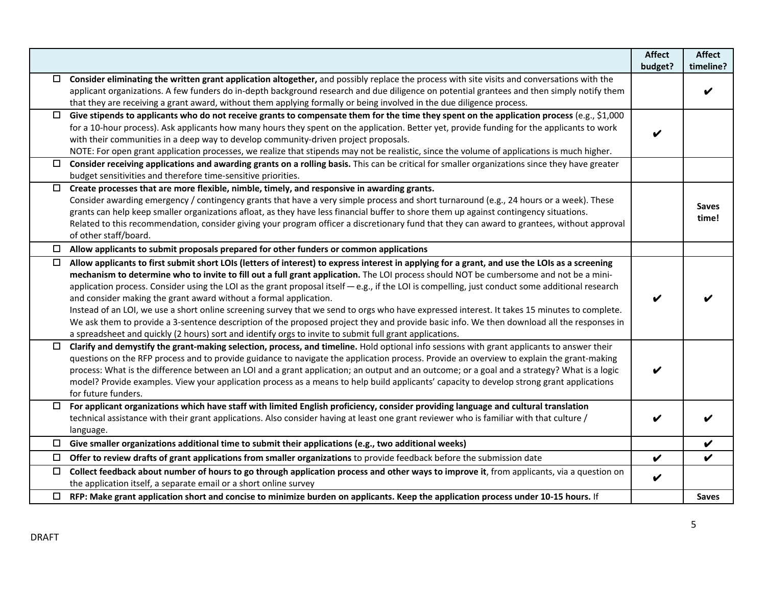|        |                                                                                                                                                  | <b>Affect</b> | <b>Affect</b> |
|--------|--------------------------------------------------------------------------------------------------------------------------------------------------|---------------|---------------|
|        |                                                                                                                                                  | budget?       | timeline?     |
|        | Consider eliminating the written grant application altogether, and possibly replace the process with site visits and conversations with the      |               |               |
|        | applicant organizations. A few funders do in-depth background research and due diligence on potential grantees and then simply notify them       |               |               |
|        | that they are receiving a grant award, without them applying formally or being involved in the due diligence process.                            |               |               |
| □      | Give stipends to applicants who do not receive grants to compensate them for the time they spent on the application process (e.g., \$1,000       |               |               |
|        | for a 10-hour process). Ask applicants how many hours they spent on the application. Better yet, provide funding for the applicants to work      |               |               |
|        | with their communities in a deep way to develop community-driven project proposals.                                                              |               |               |
|        | NOTE: For open grant application processes, we realize that stipends may not be realistic, since the volume of applications is much higher.      |               |               |
|        | Consider receiving applications and awarding grants on a rolling basis. This can be critical for smaller organizations since they have greater   |               |               |
|        | budget sensitivities and therefore time-sensitive priorities.                                                                                    |               |               |
| $\Box$ | Create processes that are more flexible, nimble, timely, and responsive in awarding grants.                                                      |               |               |
|        | Consider awarding emergency / contingency grants that have a very simple process and short turnaround (e.g., 24 hours or a week). These          |               | <b>Saves</b>  |
|        | grants can help keep smaller organizations afloat, as they have less financial buffer to shore them up against contingency situations.           |               | time!         |
|        | Related to this recommendation, consider giving your program officer a discretionary fund that they can award to grantees, without approval      |               |               |
|        | of other staff/board.                                                                                                                            |               |               |
| □      | Allow applicants to submit proposals prepared for other funders or common applications                                                           |               |               |
| $\Box$ | Allow applicants to first submit short LOIs (letters of interest) to express interest in applying for a grant, and use the LOIs as a screening   |               |               |
|        | mechanism to determine who to invite to fill out a full grant application. The LOI process should NOT be cumbersome and not be a mini-           |               |               |
|        | application process. Consider using the LOI as the grant proposal itself - e.g., if the LOI is compelling, just conduct some additional research |               |               |
|        | and consider making the grant award without a formal application.                                                                                |               |               |
|        | Instead of an LOI, we use a short online screening survey that we send to orgs who have expressed interest. It takes 15 minutes to complete.     |               |               |
|        | We ask them to provide a 3-sentence description of the proposed project they and provide basic info. We then download all the responses in       |               |               |
|        | a spreadsheet and quickly (2 hours) sort and identify orgs to invite to submit full grant applications.                                          |               |               |
| □      | Clarify and demystify the grant-making selection, process, and timeline. Hold optional info sessions with grant applicants to answer their       |               |               |
|        | questions on the RFP process and to provide guidance to navigate the application process. Provide an overview to explain the grant-making        |               |               |
|        | process: What is the difference between an LOI and a grant application; an output and an outcome; or a goal and a strategy? What is a logic      | V             |               |
|        | model? Provide examples. View your application process as a means to help build applicants' capacity to develop strong grant applications        |               |               |
|        | for future funders.                                                                                                                              |               |               |
|        | $\Box$ For applicant organizations which have staff with limited English proficiency, consider providing language and cultural translation       |               |               |
|        | technical assistance with their grant applications. Also consider having at least one grant reviewer who is familiar with that culture /         |               |               |
|        | language.                                                                                                                                        |               |               |
| 0      | Give smaller organizations additional time to submit their applications (e.g., two additional weeks)                                             |               | V             |
| $\Box$ | Offer to review drafts of grant applications from smaller organizations to provide feedback before the submission date                           | $\checkmark$  | V             |
|        | Collect feedback about number of hours to go through application process and other ways to improve it, from applicants, via a question on        |               |               |
|        | the application itself, a separate email or a short online survey                                                                                | V             |               |
|        | $\Box$ RFP: Make grant application short and concise to minimize burden on applicants. Keep the application process under 10-15 hours. If        |               | <b>Saves</b>  |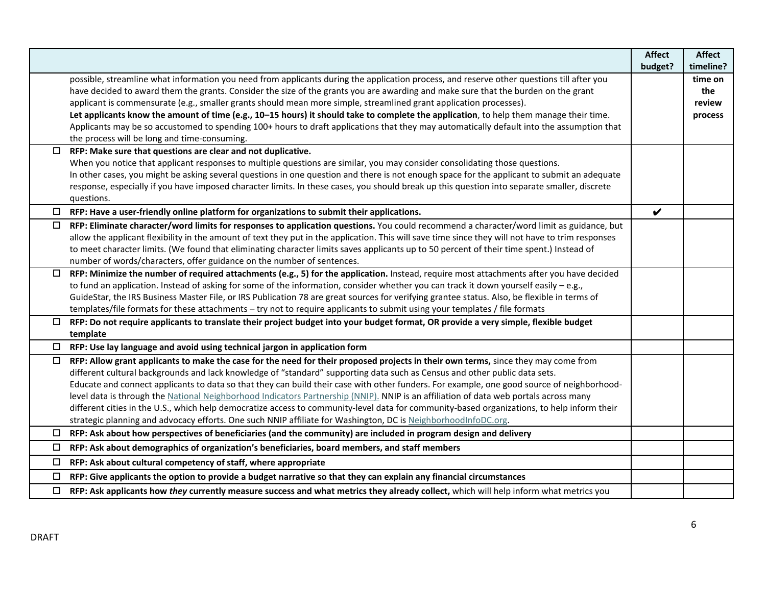|          |                                                                                                                                                                                                                                                                                               | <b>Affect</b> | <b>Affect</b> |
|----------|-----------------------------------------------------------------------------------------------------------------------------------------------------------------------------------------------------------------------------------------------------------------------------------------------|---------------|---------------|
|          |                                                                                                                                                                                                                                                                                               | budget?       | timeline?     |
|          | possible, streamline what information you need from applicants during the application process, and reserve other questions till after you                                                                                                                                                     |               | time on       |
|          | have decided to award them the grants. Consider the size of the grants you are awarding and make sure that the burden on the grant                                                                                                                                                            |               | the           |
|          | applicant is commensurate (e.g., smaller grants should mean more simple, streamlined grant application processes).                                                                                                                                                                            |               | review        |
|          | Let applicants know the amount of time (e.g., 10-15 hours) it should take to complete the application, to help them manage their time.                                                                                                                                                        |               | process       |
|          | Applicants may be so accustomed to spending 100+ hours to draft applications that they may automatically default into the assumption that                                                                                                                                                     |               |               |
|          | the process will be long and time-consuming.                                                                                                                                                                                                                                                  |               |               |
| $\Box$   | RFP: Make sure that questions are clear and not duplicative.                                                                                                                                                                                                                                  |               |               |
|          | When you notice that applicant responses to multiple questions are similar, you may consider consolidating those questions.                                                                                                                                                                   |               |               |
|          | In other cases, you might be asking several questions in one question and there is not enough space for the applicant to submit an adequate                                                                                                                                                   |               |               |
|          | response, especially if you have imposed character limits. In these cases, you should break up this question into separate smaller, discrete<br>questions.                                                                                                                                    |               |               |
| $\Box$   | RFP: Have a user-friendly online platform for organizations to submit their applications.                                                                                                                                                                                                     | V             |               |
|          |                                                                                                                                                                                                                                                                                               |               |               |
| $\Box$   | RFP: Eliminate character/word limits for responses to application questions. You could recommend a character/word limit as guidance, but<br>allow the applicant flexibility in the amount of text they put in the application. This will save time since they will not have to trim responses |               |               |
|          | to meet character limits. (We found that eliminating character limits saves applicants up to 50 percent of their time spent.) Instead of                                                                                                                                                      |               |               |
|          | number of words/characters, offer guidance on the number of sentences.                                                                                                                                                                                                                        |               |               |
|          | RFP: Minimize the number of required attachments (e.g., 5) for the application. Instead, require most attachments after you have decided                                                                                                                                                      |               |               |
|          | to fund an application. Instead of asking for some of the information, consider whether you can track it down yourself easily - e.g.,                                                                                                                                                         |               |               |
|          | GuideStar, the IRS Business Master File, or IRS Publication 78 are great sources for verifying grantee status. Also, be flexible in terms of                                                                                                                                                  |               |               |
|          | templates/file formats for these attachments - try not to require applicants to submit using your templates / file formats                                                                                                                                                                    |               |               |
| $\Box$   | RFP: Do not require applicants to translate their project budget into your budget format, OR provide a very simple, flexible budget                                                                                                                                                           |               |               |
|          | template                                                                                                                                                                                                                                                                                      |               |               |
| □        | RFP: Use lay language and avoid using technical jargon in application form                                                                                                                                                                                                                    |               |               |
| $\Box$   | RFP: Allow grant applicants to make the case for the need for their proposed projects in their own terms, since they may come from                                                                                                                                                            |               |               |
|          | different cultural backgrounds and lack knowledge of "standard" supporting data such as Census and other public data sets.                                                                                                                                                                    |               |               |
|          | Educate and connect applicants to data so that they can build their case with other funders. For example, one good source of neighborhood-                                                                                                                                                    |               |               |
|          | level data is through the National Neighborhood Indicators Partnership (NNIP). NNIP is an affiliation of data web portals across many                                                                                                                                                         |               |               |
|          | different cities in the U.S., which help democratize access to community-level data for community-based organizations, to help inform their                                                                                                                                                   |               |               |
|          | strategic planning and advocacy efforts. One such NNIP affiliate for Washington, DC is NeighborhoodInfoDC.org.                                                                                                                                                                                |               |               |
| <b>P</b> | RFP: Ask about how perspectives of beneficiaries (and the community) are included in program design and delivery                                                                                                                                                                              |               |               |
| $\Box$   | RFP: Ask about demographics of organization's beneficiaries, board members, and staff members                                                                                                                                                                                                 |               |               |
| $\Box$   | RFP: Ask about cultural competency of staff, where appropriate                                                                                                                                                                                                                                |               |               |
|          | RFP: Give applicants the option to provide a budget narrative so that they can explain any financial circumstances                                                                                                                                                                            |               |               |
|          | RFP: Ask applicants how they currently measure success and what metrics they already collect, which will help inform what metrics you                                                                                                                                                         |               |               |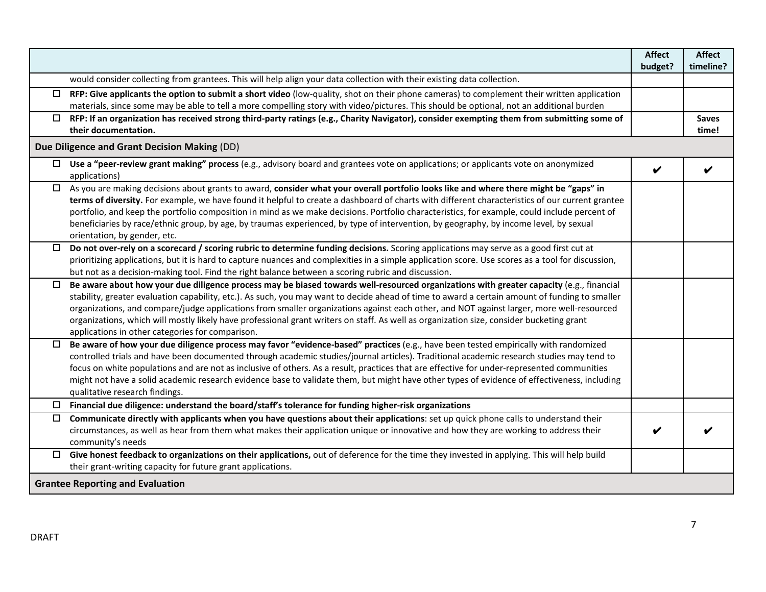|        |                                                                                                                                                                                                                                                                                                                                                                                                                                                                                                                                                                                                                                       | <b>Affect</b> | <b>Affect</b>         |
|--------|---------------------------------------------------------------------------------------------------------------------------------------------------------------------------------------------------------------------------------------------------------------------------------------------------------------------------------------------------------------------------------------------------------------------------------------------------------------------------------------------------------------------------------------------------------------------------------------------------------------------------------------|---------------|-----------------------|
|        |                                                                                                                                                                                                                                                                                                                                                                                                                                                                                                                                                                                                                                       | budget?       | timeline?             |
|        | would consider collecting from grantees. This will help align your data collection with their existing data collection.                                                                                                                                                                                                                                                                                                                                                                                                                                                                                                               |               |                       |
|        | $\Box$ RFP: Give applicants the option to submit a short video (low-quality, shot on their phone cameras) to complement their written application<br>materials, since some may be able to tell a more compelling story with video/pictures. This should be optional, not an additional burden                                                                                                                                                                                                                                                                                                                                         |               |                       |
|        | $\Box$ RFP: If an organization has received strong third-party ratings (e.g., Charity Navigator), consider exempting them from submitting some of<br>their documentation.                                                                                                                                                                                                                                                                                                                                                                                                                                                             |               | <b>Saves</b><br>time! |
|        | Due Diligence and Grant Decision Making (DD)                                                                                                                                                                                                                                                                                                                                                                                                                                                                                                                                                                                          |               |                       |
|        | $\Box$ Use a "peer-review grant making" process (e.g., advisory board and grantees vote on applications; or applicants vote on anonymized<br>applications)                                                                                                                                                                                                                                                                                                                                                                                                                                                                            | V             |                       |
|        | □ As you are making decisions about grants to award, consider what your overall portfolio looks like and where there might be "gaps" in<br>terms of diversity. For example, we have found it helpful to create a dashboard of charts with different characteristics of our current grantee<br>portfolio, and keep the portfolio composition in mind as we make decisions. Portfolio characteristics, for example, could include percent of<br>beneficiaries by race/ethnic group, by age, by traumas experienced, by type of intervention, by geography, by income level, by sexual<br>orientation, by gender, etc.                   |               |                       |
| $\Box$ | Do not over-rely on a scorecard / scoring rubric to determine funding decisions. Scoring applications may serve as a good first cut at<br>prioritizing applications, but it is hard to capture nuances and complexities in a simple application score. Use scores as a tool for discussion,<br>but not as a decision-making tool. Find the right balance between a scoring rubric and discussion.                                                                                                                                                                                                                                     |               |                       |
| $\Box$ | Be aware about how your due diligence process may be biased towards well-resourced organizations with greater capacity (e.g., financial<br>stability, greater evaluation capability, etc.). As such, you may want to decide ahead of time to award a certain amount of funding to smaller<br>organizations, and compare/judge applications from smaller organizations against each other, and NOT against larger, more well-resourced<br>organizations, which will mostly likely have professional grant writers on staff. As well as organization size, consider bucketing grant<br>applications in other categories for comparison. |               |                       |
| $\Box$ | Be aware of how your due diligence process may favor "evidence-based" practices (e.g., have been tested empirically with randomized<br>controlled trials and have been documented through academic studies/journal articles). Traditional academic research studies may tend to<br>focus on white populations and are not as inclusive of others. As a result, practices that are effective for under-represented communities<br>might not have a solid academic research evidence base to validate them, but might have other types of evidence of effectiveness, including<br>qualitative research findings.                        |               |                       |
|        | $\Box$ Financial due diligence: understand the board/staff's tolerance for funding higher-risk organizations                                                                                                                                                                                                                                                                                                                                                                                                                                                                                                                          |               |                       |
|        | Communicate directly with applicants when you have questions about their applications: set up quick phone calls to understand their<br>circumstances, as well as hear from them what makes their application unique or innovative and how they are working to address their<br>community's needs                                                                                                                                                                                                                                                                                                                                      |               |                       |
|        | $\Box$ Give honest feedback to organizations on their applications, out of deference for the time they invested in applying. This will help build<br>their grant-writing capacity for future grant applications.                                                                                                                                                                                                                                                                                                                                                                                                                      |               |                       |
|        | <b>Grantee Reporting and Evaluation</b>                                                                                                                                                                                                                                                                                                                                                                                                                                                                                                                                                                                               |               |                       |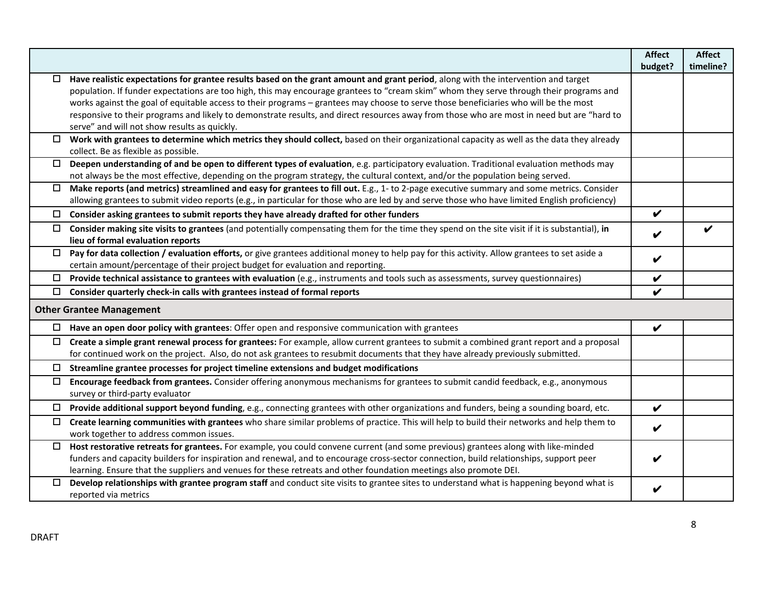|        |                                                                                                                                                                                            | <b>Affect</b>              | <b>Affect</b> |
|--------|--------------------------------------------------------------------------------------------------------------------------------------------------------------------------------------------|----------------------------|---------------|
|        |                                                                                                                                                                                            | budget?                    | timeline?     |
| □      | Have realistic expectations for grantee results based on the grant amount and grant period, along with the intervention and target                                                         |                            |               |
|        | population. If funder expectations are too high, this may encourage grantees to "cream skim" whom they serve through their programs and                                                    |                            |               |
|        | works against the goal of equitable access to their programs - grantees may choose to serve those beneficiaries who will be the most                                                       |                            |               |
|        | responsive to their programs and likely to demonstrate results, and direct resources away from those who are most in need but are "hard to                                                 |                            |               |
|        | serve" and will not show results as quickly.                                                                                                                                               |                            |               |
| 0      | Work with grantees to determine which metrics they should collect, based on their organizational capacity as well as the data they already                                                 |                            |               |
|        | collect. Be as flexible as possible.                                                                                                                                                       |                            |               |
| $\Box$ | Deepen understanding of and be open to different types of evaluation, e.g. participatory evaluation. Traditional evaluation methods may                                                    |                            |               |
|        | not always be the most effective, depending on the program strategy, the cultural context, and/or the population being served.                                                             |                            |               |
| $\Box$ | Make reports (and metrics) streamlined and easy for grantees to fill out. E.g., 1- to 2-page executive summary and some metrics. Consider                                                  |                            |               |
|        | allowing grantees to submit video reports (e.g., in particular for those who are led by and serve those who have limited English proficiency)                                              |                            |               |
|        | $\Box$ Consider asking grantees to submit reports they have already drafted for other funders                                                                                              | $\boldsymbol{\mathcal{U}}$ |               |
|        | $\Box$ Consider making site visits to grantees (and potentially compensating them for the time they spend on the site visit if it is substantial), in<br>lieu of formal evaluation reports | V                          |               |
| $\Box$ | Pay for data collection / evaluation efforts, or give grantees additional money to help pay for this activity. Allow grantees to set aside a                                               |                            |               |
|        | certain amount/percentage of their project budget for evaluation and reporting.                                                                                                            | V                          |               |
| $\Box$ | Provide technical assistance to grantees with evaluation (e.g., instruments and tools such as assessments, survey questionnaires)                                                          | V                          |               |
| □      | Consider quarterly check-in calls with grantees instead of formal reports                                                                                                                  | V                          |               |
|        |                                                                                                                                                                                            |                            |               |
|        | <b>Other Grantee Management</b>                                                                                                                                                            |                            |               |
| $\Box$ | Have an open door policy with grantees: Offer open and responsive communication with grantees                                                                                              | V                          |               |
| $\Box$ | Create a simple grant renewal process for grantees: For example, allow current grantees to submit a combined grant report and a proposal                                                   |                            |               |
|        | for continued work on the project. Also, do not ask grantees to resubmit documents that they have already previously submitted.                                                            |                            |               |
|        | $\Box$ Streamline grantee processes for project timeline extensions and budget modifications                                                                                               |                            |               |
| $\Box$ | Encourage feedback from grantees. Consider offering anonymous mechanisms for grantees to submit candid feedback, e.g., anonymous<br>survey or third-party evaluator                        |                            |               |
| $\Box$ | Provide additional support beyond funding, e.g., connecting grantees with other organizations and funders, being a sounding board, etc.                                                    | V                          |               |
| $\Box$ | Create learning communities with grantees who share similar problems of practice. This will help to build their networks and help them to                                                  |                            |               |
|        | work together to address common issues.                                                                                                                                                    | V                          |               |
| $\Box$ | Host restorative retreats for grantees. For example, you could convene current (and some previous) grantees along with like-minded                                                         |                            |               |
|        | funders and capacity builders for inspiration and renewal, and to encourage cross-sector connection, build relationships, support peer                                                     |                            |               |
|        | learning. Ensure that the suppliers and venues for these retreats and other foundation meetings also promote DEI.                                                                          |                            |               |
| $\Box$ | Develop relationships with grantee program staff and conduct site visits to grantee sites to understand what is happening beyond what is                                                   |                            |               |
|        | reported via metrics                                                                                                                                                                       |                            |               |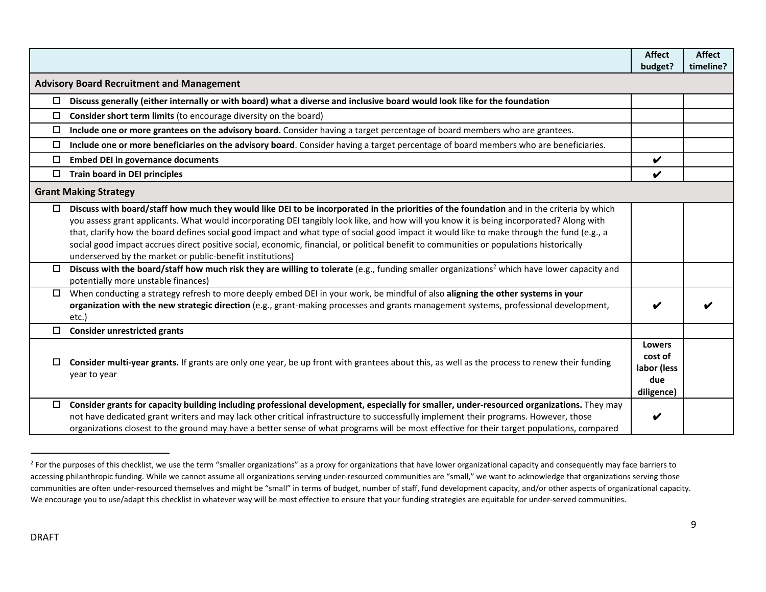|                                                  |                                                                                                                                                                                                                                                                                                                                                                                                                                                                                                                                                                                                                                             | <b>Affect</b><br>budget?                                     | <b>Affect</b><br>timeline? |
|--------------------------------------------------|---------------------------------------------------------------------------------------------------------------------------------------------------------------------------------------------------------------------------------------------------------------------------------------------------------------------------------------------------------------------------------------------------------------------------------------------------------------------------------------------------------------------------------------------------------------------------------------------------------------------------------------------|--------------------------------------------------------------|----------------------------|
| <b>Advisory Board Recruitment and Management</b> |                                                                                                                                                                                                                                                                                                                                                                                                                                                                                                                                                                                                                                             |                                                              |                            |
| $\Box$                                           | Discuss generally (either internally or with board) what a diverse and inclusive board would look like for the foundation                                                                                                                                                                                                                                                                                                                                                                                                                                                                                                                   |                                                              |                            |
| $\Box$                                           | Consider short term limits (to encourage diversity on the board)                                                                                                                                                                                                                                                                                                                                                                                                                                                                                                                                                                            |                                                              |                            |
| $\Box$                                           | Include one or more grantees on the advisory board. Consider having a target percentage of board members who are grantees.                                                                                                                                                                                                                                                                                                                                                                                                                                                                                                                  |                                                              |                            |
| $\Box$                                           | Include one or more beneficiaries on the advisory board. Consider having a target percentage of board members who are beneficiaries.                                                                                                                                                                                                                                                                                                                                                                                                                                                                                                        |                                                              |                            |
| $\Box$                                           | <b>Embed DEI in governance documents</b>                                                                                                                                                                                                                                                                                                                                                                                                                                                                                                                                                                                                    | $\boldsymbol{\mathcal{U}}$                                   |                            |
|                                                  | <b>Train board in DEI principles</b>                                                                                                                                                                                                                                                                                                                                                                                                                                                                                                                                                                                                        | V                                                            |                            |
|                                                  | <b>Grant Making Strategy</b>                                                                                                                                                                                                                                                                                                                                                                                                                                                                                                                                                                                                                |                                                              |                            |
| 0                                                | Discuss with board/staff how much they would like DEI to be incorporated in the priorities of the foundation and in the criteria by which<br>you assess grant applicants. What would incorporating DEI tangibly look like, and how will you know it is being incorporated? Along with<br>that, clarify how the board defines social good impact and what type of social good impact it would like to make through the fund (e.g., a<br>social good impact accrues direct positive social, economic, financial, or political benefit to communities or populations historically<br>underserved by the market or public-benefit institutions) |                                                              |                            |
| $\Box$                                           | Discuss with the board/staff how much risk they are willing to tolerate (e.g., funding smaller organizations <sup>2</sup> which have lower capacity and<br>potentially more unstable finances)                                                                                                                                                                                                                                                                                                                                                                                                                                              |                                                              |                            |
| $\Box$                                           | When conducting a strategy refresh to more deeply embed DEI in your work, be mindful of also aligning the other systems in your<br>organization with the new strategic direction (e.g., grant-making processes and grants management systems, professional development,<br>etc.)                                                                                                                                                                                                                                                                                                                                                            |                                                              |                            |
| $\Box$                                           | <b>Consider unrestricted grants</b>                                                                                                                                                                                                                                                                                                                                                                                                                                                                                                                                                                                                         |                                                              |                            |
| □                                                | Consider multi-year grants. If grants are only one year, be up front with grantees about this, as well as the process to renew their funding<br>year to year                                                                                                                                                                                                                                                                                                                                                                                                                                                                                | <b>Lowers</b><br>cost of<br>labor (less<br>due<br>diligence) |                            |
| $\Box$                                           | Consider grants for capacity building including professional development, especially for smaller, under-resourced organizations. They may<br>not have dedicated grant writers and may lack other critical infrastructure to successfully implement their programs. However, those<br>organizations closest to the ground may have a better sense of what programs will be most effective for their target populations, compared                                                                                                                                                                                                             | V                                                            |                            |

<sup>&</sup>lt;sup>2</sup> For the purposes of this checklist, we use the term "smaller organizations" as a proxy for organizations that have lower organizational capacity and consequently may face barriers to accessing philanthropic funding. While we cannot assume all organizations serving under-resourced communities are "small," we want to acknowledge that organizations serving those communities are often under-resourced themselves and might be "small" in terms of budget, number of staff, fund development capacity, and/or other aspects of organizational capacity. We encourage you to use/adapt this checklist in whatever way will be most effective to ensure that your funding strategies are equitable for under-served communities.

l